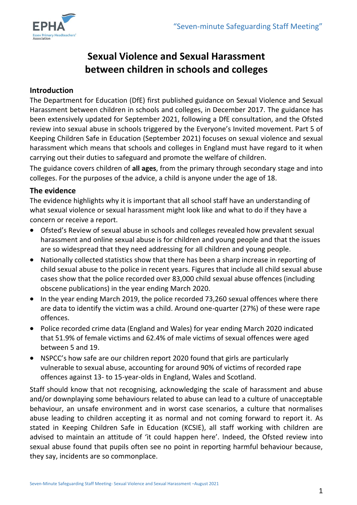

# **Sexual Violence and Sexual Harassment between children in schools and colleges**

# **Introduction**

The Department for Education (DfE) first published guidance on Sexual Violence and Sexual Harassment between children in schools and colleges, in December 2017. The guidance has been extensively updated for September 2021, following a DfE consultation, and the Ofsted review into sexual abuse in schools triggered by the Everyone's Invited movement. Part 5 of Keeping Children Safe in Education (September 2021) focuses on sexual violence and sexual harassment which means that schools and colleges in England must have regard to it when carrying out their duties to safeguard and promote the welfare of children.

The guidance covers children of **all ages**, from the primary through secondary stage and into colleges. For the purposes of the advice, a child is anyone under the age of 18.

## **The evidence**

The evidence highlights why it is important that all school staff have an understanding of what sexual violence or sexual harassment might look like and what to do if they have a concern or receive a report.

- Ofsted's Review of sexual abuse in schools and colleges revealed how prevalent sexual harassment and online sexual abuse is for children and young people and that the issues are so widespread that they need addressing for all children and young people.
- Nationally collected statistics show that there has been a sharp increase in reporting of child sexual abuse to the police in recent years. Figures that include all child sexual abuse cases show that the police recorded over 83,000 child sexual abuse offences (including obscene publications) in the year ending March 2020.
- In the year ending March 2019, the police recorded 73,260 sexual offences where there are data to identify the victim was a child. Around one-quarter (27%) of these were rape offences.
- Police recorded crime data (England and Wales) for year ending March 2020 indicated that 51.9% of female victims and 62.4% of male victims of sexual offences were aged between 5 and 19.
- NSPCC's how safe are our children report 2020 found that girls are particularly vulnerable to sexual abuse, accounting for around 90% of victims of recorded rape offences against 13- to 15-year-olds in England, Wales and Scotland.

Staff should know that not recognising, acknowledging the scale of harassment and abuse and/or downplaying some behaviours related to abuse can lead to a culture of unacceptable behaviour, an unsafe environment and in worst case scenarios, a culture that normalises abuse leading to children accepting it as normal and not coming forward to report it. As stated in Keeping Children Safe in Education (KCSIE), all staff working with children are advised to maintain an attitude of 'it could happen here'. Indeed, the Ofsted review into sexual abuse found that pupils often see no point in reporting harmful behaviour because, they say, incidents are so commonplace.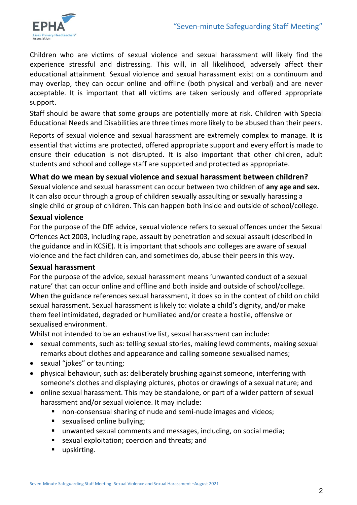

Children who are victims of sexual violence and sexual harassment will likely find the experience stressful and distressing. This will, in all likelihood, adversely affect their educational attainment. Sexual violence and sexual harassment exist on a continuum and may overlap, they can occur online and offline (both physical and verbal) and are never acceptable. It is important that **all** victims are taken seriously and offered appropriate support.

Staff should be aware that some groups are potentially more at risk. Children with Special Educational Needs and Disabilities are three times more likely to be abused than their peers.

Reports of sexual violence and sexual harassment are extremely complex to manage. It is essential that victims are protected, offered appropriate support and every effort is made to ensure their education is not disrupted. It is also important that other children, adult students and school and college staff are supported and protected as appropriate.

# **What do we mean by sexual violence and sexual harassment between children?**

Sexual violence and sexual harassment can occur between two children of **any age and sex.**  It can also occur through a group of children sexually assaulting or sexually harassing a single child or group of children. This can happen both inside and outside of school/college.

#### **Sexual violence**

For the purpose of the DfE advice, sexual violence refers to sexual offences under the Sexual Offences Act 2003, including rape, assault by penetration and sexual assault (described in the guidance and in KCSiE). It is important that schools and colleges are aware of sexual violence and the fact children can, and sometimes do, abuse their peers in this way.

#### **Sexual harassment**

For the purpose of the advice, sexual harassment means 'unwanted conduct of a sexual nature' that can occur online and offline and both inside and outside of school/college. When the guidance references sexual harassment, it does so in the context of child on child sexual harassment. Sexual harassment is likely to: violate a child's dignity, and/or make them feel intimidated, degraded or humiliated and/or create a hostile, offensive or sexualised environment.

Whilst not intended to be an exhaustive list, sexual harassment can include:

- sexual comments, such as: telling sexual stories, making lewd comments, making sexual remarks about clothes and appearance and calling someone sexualised names;
- sexual "jokes" or taunting;
- physical behaviour, such as: deliberately brushing against someone, interfering with someone's clothes and displaying pictures, photos or drawings of a sexual nature; and
- online sexual harassment. This may be standalone, or part of a wider pattern of sexual harassment and/or sexual violence. It may include:
	- non-consensual sharing of nude and semi-nude images and videos;
	- **s** sexualised online bullying;
	- unwanted sexual comments and messages, including, on social media;
	- sexual exploitation; coercion and threats; and
	- upskirting.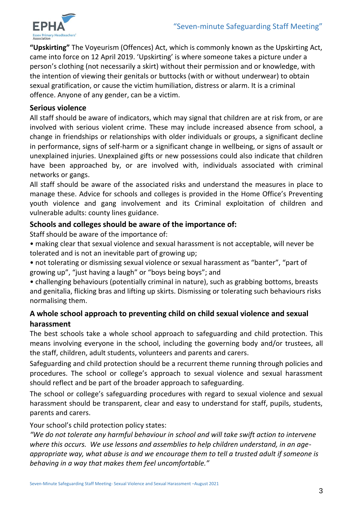

**"Upskirting"** The Voyeurism (Offences) Act, which is commonly known as the Upskirting Act, came into force on 12 April 2019. 'Upskirting' is where someone takes a picture under a person's clothing (not necessarily a skirt) without their permission and or knowledge, with the intention of viewing their genitals or buttocks (with or without underwear) to obtain sexual gratification, or cause the victim humiliation, distress or alarm. It is a criminal offence. Anyone of any gender, can be a victim.

#### **Serious violence**

All staff should be aware of indicators, which may signal that children are at risk from, or are involved with serious violent crime. These may include increased absence from school, a change in friendships or relationships with older individuals or groups, a significant decline in performance, signs of self-harm or a significant change in wellbeing, or signs of assault or unexplained injuries. Unexplained gifts or new possessions could also indicate that children have been approached by, or are involved with, individuals associated with criminal networks or gangs.

All staff should be aware of the associated risks and understand the measures in place to manage these. Advice for schools and colleges is provided in the Home Office's Preventing youth violence and gang involvement and its Criminal exploitation of children and vulnerable adults: county lines guidance.

## **Schools and colleges should be aware of the importance of:**

Staff should be aware of the importance of:

• making clear that sexual violence and sexual harassment is not acceptable, will never be tolerated and is not an inevitable part of growing up;

• not tolerating or dismissing sexual violence or sexual harassment as "banter", "part of growing up", "just having a laugh" or "boys being boys"; and

• challenging behaviours (potentially criminal in nature), such as grabbing bottoms, breasts and genitalia, flicking bras and lifting up skirts. Dismissing or tolerating such behaviours risks normalising them.

# **A whole school approach to preventing child on child sexual violence and sexual harassment**

The best schools take a whole school approach to safeguarding and child protection. This means involving everyone in the school, including the governing body and/or trustees, all the staff, children, adult students, volunteers and parents and carers.

Safeguarding and child protection should be a recurrent theme running through policies and procedures. The school or college's approach to sexual violence and sexual harassment should reflect and be part of the broader approach to safeguarding.

The school or college's safeguarding procedures with regard to sexual violence and sexual harassment should be transparent, clear and easy to understand for staff, pupils, students, parents and carers.

Your school's child protection policy states:

*"We do not tolerate any harmful behaviour in school and will take swift action to intervene where this occurs. We use lessons and assemblies to help children understand, in an ageappropriate way, what abuse is and we encourage them to tell a trusted adult if someone is behaving in a way that makes them feel uncomfortable."*